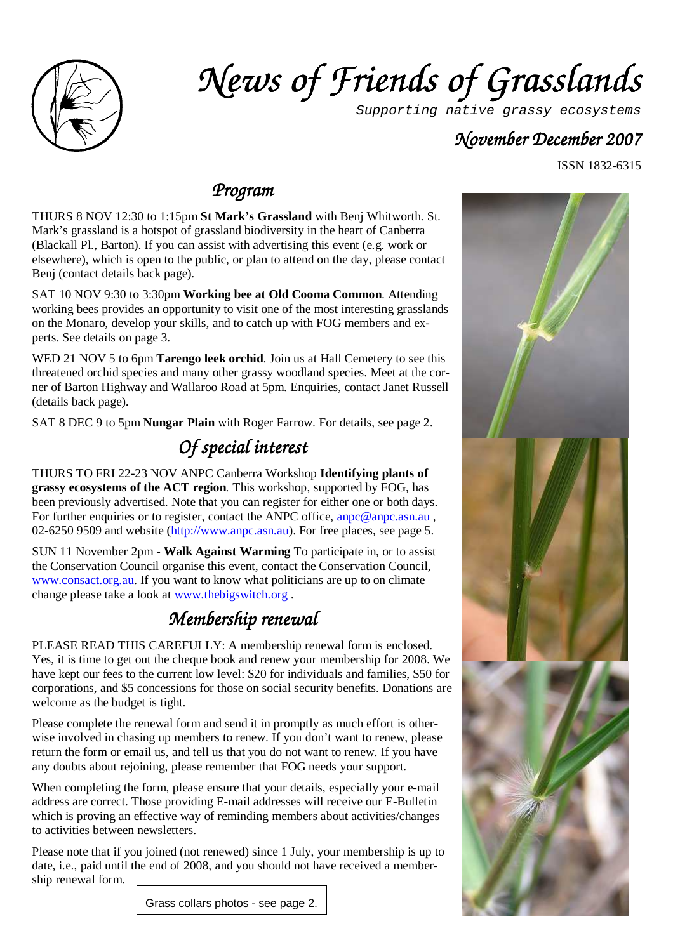

# *News of Friends of Grass News of Grasslands*

Supporting native grassy ecosystems

### *November December December2007*

ISSN 1832-6315

### *Program*

THURS 8 NOV 12:30 to 1:15pm **St Mark's Grassland** with Benj Whitworth. St. Mark's grassland is a hotspot of grassland biodiversity in the heart of Canberra (Blackall Pl., Barton). If you can assist with advertising this event (e.g. work or elsewhere), which is open to the public, or plan to attend on the day, please contact Benj (contact details back page).

SAT 10 NOV 9:30 to 3:30pm **Working bee at Old Cooma Common**. Attending working bees provides an opportunity to visit one of the most interesting grasslands on the Monaro, develop your skills, and to catch up with FOG members and experts. See details on page 3.

WED 21 NOV 5 to 6pm **Tarengo leek orchid**. Join us at Hall Cemetery to see this threatened orchid species and many other grassy woodland species. Meet at the corner of Barton Highway and Wallaroo Road at 5pm. Enquiries, contact Janet Russell (details back page).

SAT 8 DEC 9 to 5pm **Nungar Plain** with Roger Farrow. For details, see page 2.

### *Of special interest interest*

THURS TO FRI 22-23 NOV ANPC Canberra Workshop **Identifying plants of grassy ecosystems of the ACT region***.* This workshop, supported by FOG, has been previously advertised. Note that you can register for either one or both days. For further enquiries or to register, contact the ANPC office, anno @anpc.asn.au, 02-6250 9509 and website (http://www.anpc.asn.au). For free places, see page 5.

SUN 11 November 2pm - **Walk Against Warming** To participate in, or to assist the Conservation Council organise this event, contact the Conservation Council, www.consact.org.au. If you want to know what politicians are up to on climate change please take a look at www.thebigswitch.org .

### *Membership re Membership renewal*

PLEASE READ THIS CAREFULLY: A membership renewal form is enclosed. Yes, it is time to get out the cheque book and renew your membership for 2008. We have kept our fees to the current low level: \$20 for individuals and families, \$50 for corporations, and \$5 concessions for those on social security benefits. Donations are welcome as the budget is tight.

Please complete the renewal form and send it in promptly as much effort is otherwise involved in chasing up members to renew. If you don't want to renew, please return the form or email us, and tell us that you do not want to renew. If you have any doubts about rejoining, please remember that FOG needs your support.

When completing the form, please ensure that your details, especially your e-mail address are correct. Those providing E-mail addresses will receive our E-Bulletin which is proving an effective way of reminding members about activities/changes to activities between newsletters.

Please note that if you joined (not renewed) since 1 July, your membership is up to date, i.e., paid until the end of 2008, and you should not have received a membership renewal form.



Grass collars photos - see page 2.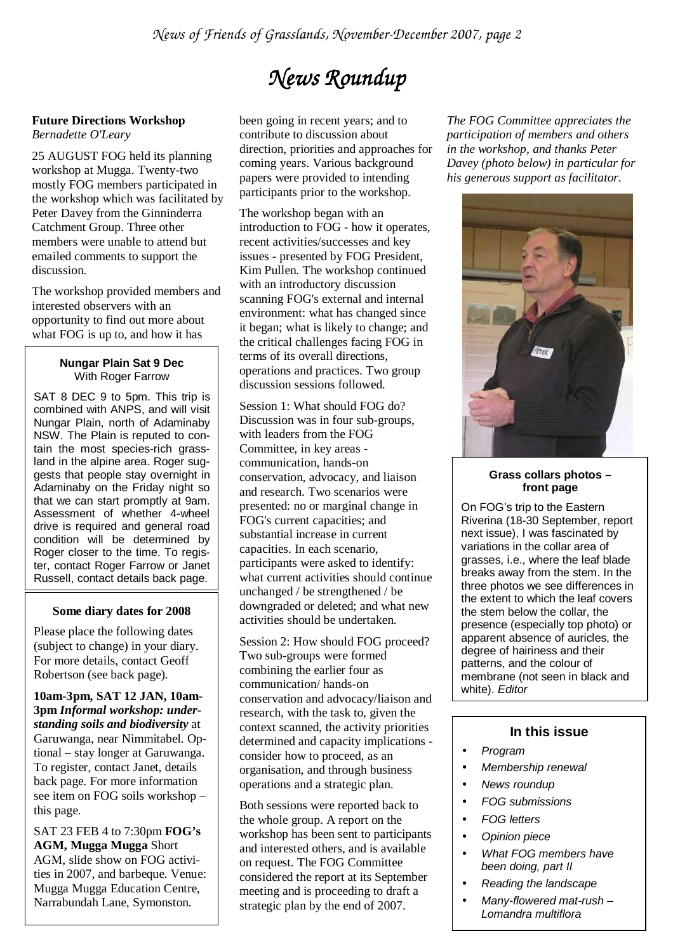# $N$ ews Roundup

#### **Future Directions Workshop**  *Bernadette O'Leary*

25 AUGUST FOG held its planning workshop at Mugga. Twenty-two mostly FOG members participated in the workshop which was facilitated by Peter Davey from the Ginninderra Catchment Group. Three other members were unable to attend but emailed comments to support the discussion.

The workshop provided members and interested observers with an opportunity to find out more about what FOG is up to, and how it has

#### **Nungar Plain Sat 9 Dec**  With Roger Farrow

SAT 8 DEC 9 to 5pm. This trip is combined with ANPS, and will visit Nungar Plain, north of Adaminaby NSW. The Plain is reputed to contain the most species-rich grassland in the alpine area. Roger suggests that people stay overnight in Adaminaby on the Friday night so that we can start promptly at 9am. Assessment of whether 4-wheel drive is required and general road condition will be determined by Roger closer to the time. To register, contact Roger Farrow or Janet Russell, contact details back page.

#### **Some diary dates for 2008**

Please place the following dates (subject to change) in your diary. For more details, contact Geoff Robertson (see back page).

**10am-3pm, SAT 12 JAN, 10am-3pm** *Informal workshop: understanding soils and biodiversity* at Garuwanga, near Nimmitabel. Optional – stay longer at Garuwanga. To register, contact Janet, details back page. For more information see item on FOG soils workshop – this page.

SAT 23 FEB 4 to 7:30pm **FOG's AGM, Mugga Mugga** Short AGM, slide show on FOG activities in 2007, and barbeque. Venue: Mugga Mugga Education Centre, Narrabundah Lane, Symonston.

been going in recent years; and to contribute to discussion about direction, priorities and approaches for coming years. Various background papers were provided to intending participants prior to the workshop.

The workshop began with an introduction to FOG - how it operates, recent activities/successes and key issues - presented by FOG President, Kim Pullen. The workshop continued with an introductory discussion scanning FOG's external and internal environment: what has changed since it began; what is likely to change; and the critical challenges facing FOG in terms of its overall directions, operations and practices. Two group discussion sessions followed.

Session 1: What should FOG do? Discussion was in four sub-groups, with leaders from the FOG Committee, in key areas communication, hands-on conservation, advocacy, and liaison and research. Two scenarios were presented: no or marginal change in FOG's current capacities; and substantial increase in current capacities. In each scenario, participants were asked to identify: what current activities should continue unchanged / be strengthened / be downgraded or deleted; and what new activities should be undertaken.

Session 2: How should FOG proceed? Two sub-groups were formed combining the earlier four as communication/ hands-on conservation and advocacy/liaison and research, with the task to, given the context scanned, the activity priorities determined and capacity implications consider how to proceed, as an organisation, and through business operations and a strategic plan.

Both sessions were reported back to the whole group. A report on the workshop has been sent to participants and interested others, and is available on request. The FOG Committee considered the report at its September meeting and is proceeding to draft a strategic plan by the end of 2007.

*The FOG Committee appreciates the participation of members and others in the workshop, and thanks Peter Davey (photo below) in particular for his generous support as facilitator*.



#### **Grass collars photos – front page**

On FOG's trip to the Eastern Riverina (18-30 September, report next issue), I was fascinated by variations in the collar area of grasses, i.e., where the leaf blade breaks away from the stem. In the three photos we see differences in the extent to which the leaf covers the stem below the collar, the presence (especially top photo) or apparent absence of auricles, the degree of hairiness and their patterns, and the colour of membrane (not seen in black and white). Editor

#### **In this issue**

- Program
- Membership renewal
- News roundup
- FOG submissions
- FOG letters
- Opinion piece
- What FOG members have been doing, part II
- Reading the landscape
- Many-flowered mat-rush Lomandra multiflora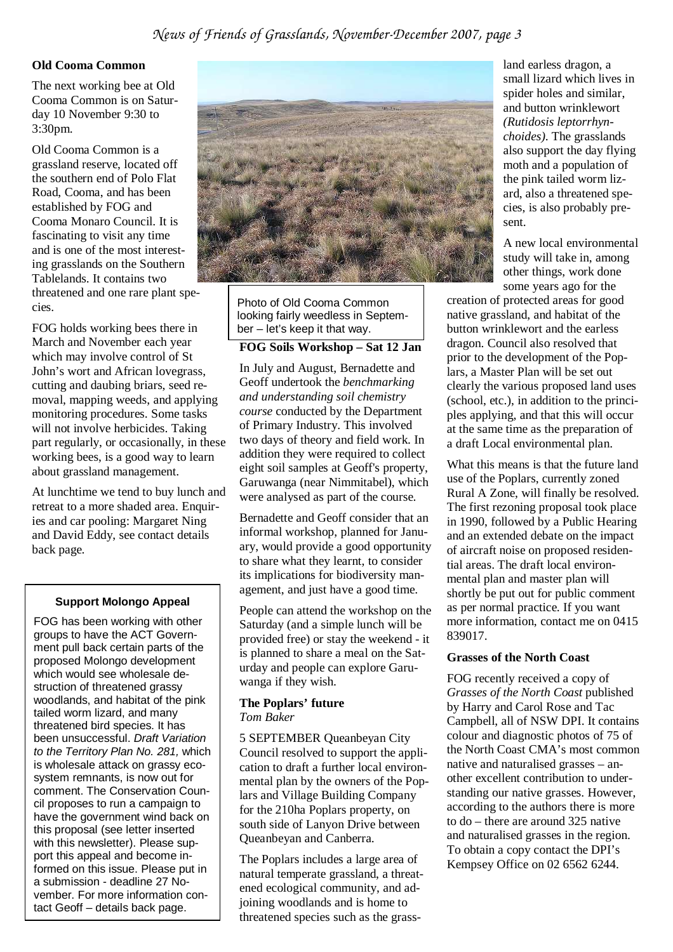#### **Old Cooma Common**

The next working bee at Old Cooma Common is on Saturday 10 November 9:30 to 3:30pm.

Old Cooma Common is a grassland reserve, located off the southern end of Polo Flat Road, Cooma, and has been established by FOG and Cooma Monaro Council. It is fascinating to visit any time and is one of the most interesting grasslands on the Southern Tablelands. It contains two threatened and one rare plant species.

FOG holds working bees there in March and November each year which may involve control of St John's wort and African lovegrass, cutting and daubing briars, seed removal, mapping weeds, and applying monitoring procedures. Some tasks will not involve herbicides. Taking part regularly, or occasionally, in these working bees, is a good way to learn about grassland management.

At lunchtime we tend to buy lunch and retreat to a more shaded area. Enquiries and car pooling: Margaret Ning and David Eddy, see contact details back page.

#### **Support Molongo Appeal**

FOG has been working with other groups to have the ACT Government pull back certain parts of the proposed Molongo development which would see wholesale destruction of threatened grassy woodlands, and habitat of the pink tailed worm lizard, and many threatened bird species. It has been unsuccessful. Draft Variation to the Territory Plan No. 281, which is wholesale attack on grassy ecosystem remnants, is now out for comment. The Conservation Council proposes to run a campaign to have the government wind back on this proposal (see letter inserted with this newsletter). Please support this appeal and become informed on this issue. Please put in a submission - deadline 27 November. For more information contact Geoff – details back page.



Photo of Old Cooma Common looking fairly weedless in September – let's keep it that way.

#### **FOG Soils Workshop – Sat 12 Jan**

In July and August, Bernadette and Geoff undertook the *benchmarking and understanding soil chemistry course* conducted by the Department of Primary Industry. This involved two days of theory and field work. In addition they were required to collect eight soil samples at Geoff's property, Garuwanga (near Nimmitabel), which were analysed as part of the course.

Bernadette and Geoff consider that an informal workshop, planned for January, would provide a good opportunity to share what they learnt, to consider its implications for biodiversity management, and just have a good time.

People can attend the workshop on the Saturday (and a simple lunch will be provided free) or stay the weekend - it is planned to share a meal on the Saturday and people can explore Garuwanga if they wish.

#### **The Poplars' future**  *Tom Baker*

5 SEPTEMBER Queanbeyan City Council resolved to support the application to draft a further local environmental plan by the owners of the Poplars and Village Building Company for the 210ha Poplars property, on south side of Lanyon Drive between Queanbeyan and Canberra.

The Poplars includes a large area of natural temperate grassland, a threatened ecological community, and adjoining woodlands and is home to threatened species such as the grass-

land earless dragon, a small lizard which lives in spider holes and similar, and button wrinklewort *(Rutidosis leptorrhynchoides).* The grasslands also support the day flying moth and a population of the pink tailed worm lizard, also a threatened species, is also probably present.

A new local environmental study will take in, among other things, work done some years ago for the

creation of protected areas for good native grassland, and habitat of the button wrinklewort and the earless dragon. Council also resolved that prior to the development of the Poplars, a Master Plan will be set out clearly the various proposed land uses (school, etc.), in addition to the principles applying, and that this will occur at the same time as the preparation of a draft Local environmental plan.

What this means is that the future land use of the Poplars, currently zoned Rural A Zone, will finally be resolved. The first rezoning proposal took place in 1990, followed by a Public Hearing and an extended debate on the impact of aircraft noise on proposed residential areas. The draft local environmental plan and master plan will shortly be put out for public comment as per normal practice. If you want more information, contact me on 0415 839017.

#### **Grasses of the North Coast**

FOG recently received a copy of *Grasses of the North Coast* published by Harry and Carol Rose and Tac Campbell, all of NSW DPI. It contains colour and diagnostic photos of 75 of the North Coast CMA's most common native and naturalised grasses – another excellent contribution to understanding our native grasses. However, according to the authors there is more to do – there are around 325 native and naturalised grasses in the region. To obtain a copy contact the DPI's Kempsey Office on 02 6562 6244.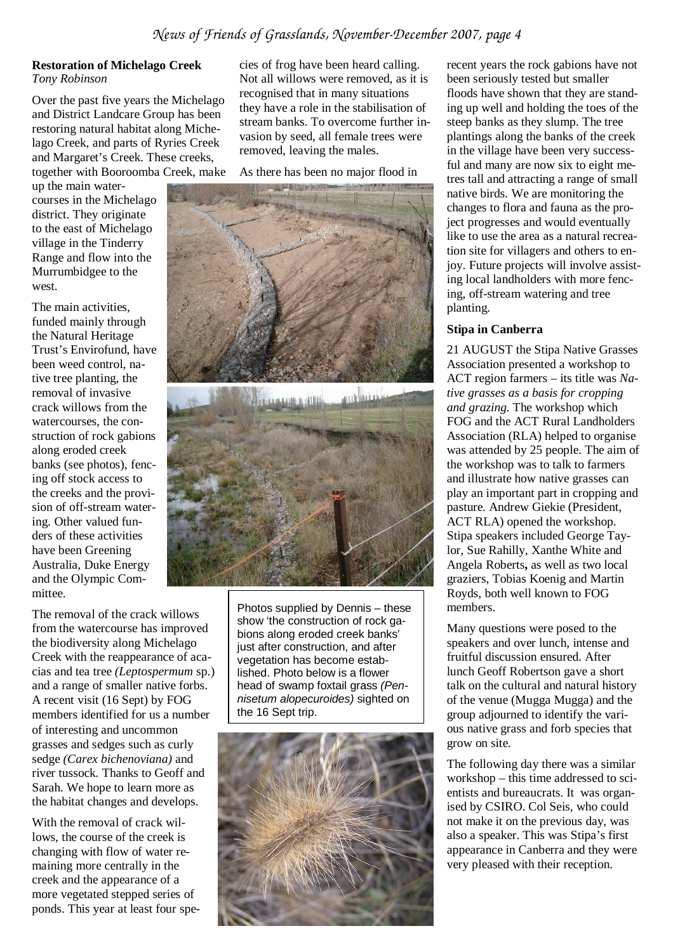#### **Restoration of Michelago Creek**  *Tony Robinson*

Over the past five years the Michelago and District Landcare Group has been restoring natural habitat along Michelago Creek, and parts of Ryries Creek and Margaret's Creek. These creeks, together with Booroomba Creek, make

up the main watercourses in the Michelago district. They originate to the east of Michelago village in the Tinderry Range and flow into the Murrumbidgee to the west.

The main activities, funded mainly through the Natural Heritage Trust's Envirofund, have been weed control, native tree planting, the removal of invasive crack willows from the watercourses, the construction of rock gabions along eroded creek banks (see photos), fencing off stock access to the creeks and the provision of off-stream watering. Other valued funders of these activities have been Greening Australia, Duke Energy and the Olympic Committee.

The removal of the crack willows from the watercourse has improved the biodiversity along Michelago Creek with the reappearance of acacias and tea tree *(Leptospermum* sp.) and a range of smaller native forbs. A recent visit (16 Sept) by FOG members identified for us a number of interesting and uncommon grasses and sedges such as curly sedge *(Carex bichenoviana)* and river tussock. Thanks to Geoff and Sarah. We hope to learn more as the habitat changes and develops.

With the removal of crack willows, the course of the creek is changing with flow of water remaining more centrally in the creek and the appearance of a more vegetated stepped series of ponds. This year at least four species of frog have been heard calling. Not all willows were removed, as it is recognised that in many situations they have a role in the stabilisation of stream banks. To overcome further invasion by seed, all female trees were removed, leaving the males.

As there has been no major flood in



Photos supplied by Dennis – these show 'the construction of rock gabions along eroded creek banks' just after construction, and after vegetation has become established. Photo below is a flower head of swamp foxtail grass (Pennisetum alopecuroides) sighted on the 16 Sept trip.



recent years the rock gabions have not been seriously tested but smaller floods have shown that they are standing up well and holding the toes of the steep banks as they slump. The tree plantings along the banks of the creek in the village have been very successful and many are now six to eight metres tall and attracting a range of small native birds. We are monitoring the changes to flora and fauna as the project progresses and would eventually like to use the area as a natural recreation site for villagers and others to enjoy. Future projects will involve assisting local landholders with more fencing, off-stream watering and tree planting.

#### **Stipa in Canberra**

21 AUGUST the Stipa Native Grasses Association presented a workshop to ACT region farmers – its title was *Native grasses as a basis for cropping and grazing.* The workshop which FOG and the ACT Rural Landholders Association (RLA) helped to organise was attended by 25 people. The aim of the workshop was to talk to farmers and illustrate how native grasses can play an important part in cropping and pasture. Andrew Giekie (President, ACT RLA) opened the workshop. Stipa speakers included George Taylor, Sue Rahilly, Xanthe White and Angela Roberts**,** as well as two local graziers, Tobias Koenig and Martin Royds, both well known to FOG members.

Many questions were posed to the speakers and over lunch, intense and fruitful discussion ensured. After lunch Geoff Robertson gave a short talk on the cultural and natural history of the venue (Mugga Mugga) and the group adjourned to identify the various native grass and forb species that grow on site.

The following day there was a similar workshop – this time addressed to scientists and bureaucrats. It was organised by CSIRO. Col Seis, who could not make it on the previous day, was also a speaker. This was Stipa's first appearance in Canberra and they were very pleased with their reception.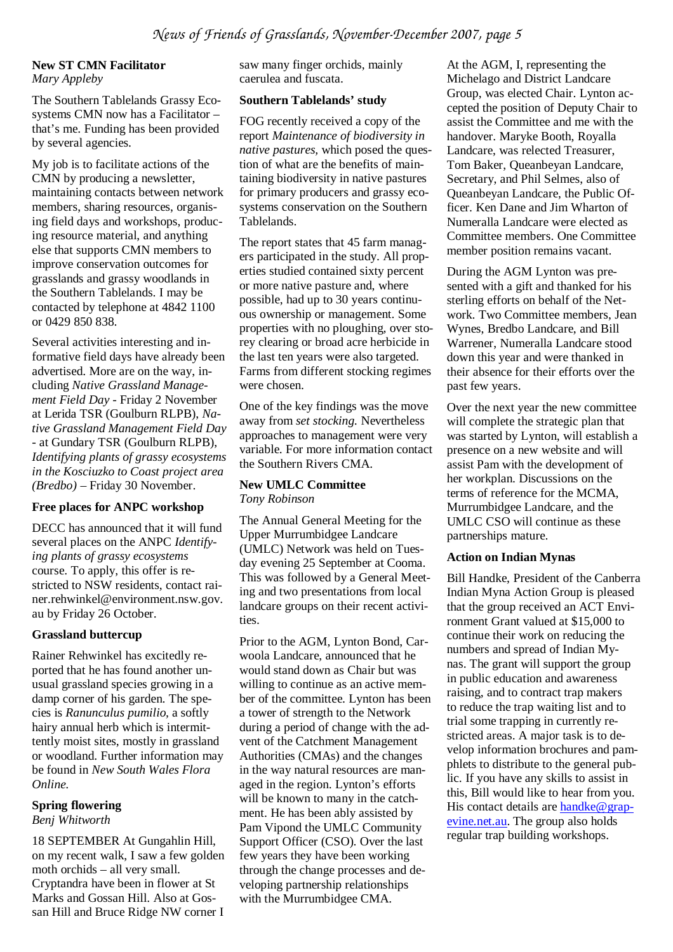#### **New ST CMN Facilitator**  *Mary Appleby*

The Southern Tablelands Grassy Ecosystems CMN now has a Facilitator – that's me. Funding has been provided by several agencies.

My job is to facilitate actions of the CMN by producing a newsletter, maintaining contacts between network members, sharing resources, organising field days and workshops, producing resource material, and anything else that supports CMN members to improve conservation outcomes for grasslands and grassy woodlands in the Southern Tablelands. I may be contacted by telephone at 4842 1100 or 0429 850 838.

Several activities interesting and informative field days have already been advertised. More are on the way, including *Native Grassland Management Field Day -* Friday 2 November at Lerida TSR (Goulburn RLPB), *Native Grassland Management Field Day -* at Gundary TSR (Goulburn RLPB), *Identifying plants of grassy ecosystems in the Kosciuzko to Coast project area (Bredbo) –* Friday 30 November.

#### **Free places for ANPC workshop**

DECC has announced that it will fund several places on the ANPC *Identifying plants of grassy ecosystems*  course. To apply, this offer is restricted to NSW residents, contact rainer.rehwinkel@environment.nsw.gov. au by Friday 26 October.

#### **Grassland buttercup**

Rainer Rehwinkel has excitedly reported that he has found another unusual grassland species growing in a damp corner of his garden. The species is *Ranunculus pumilio,* a softly hairy annual herb which is intermittently moist sites, mostly in grassland or woodland. Further information may be found in *New South Wales Flora Online.*

#### **Spring flowering**

*Benj Whitworth* 

18 SEPTEMBER At Gungahlin Hill, on my recent walk, I saw a few golden moth orchids – all very small. Cryptandra have been in flower at St Marks and Gossan Hill. Also at Gossan Hill and Bruce Ridge NW corner I

saw many finger orchids, mainly caerulea and fuscata.

#### **Southern Tablelands' study**

FOG recently received a copy of the report *Maintenance of biodiversity in native pastures,* which posed the question of what are the benefits of maintaining biodiversity in native pastures for primary producers and grassy ecosystems conservation on the Southern Tablelands.

The report states that 45 farm managers participated in the study. All properties studied contained sixty percent or more native pasture and, where possible, had up to 30 years continuous ownership or management. Some properties with no ploughing, over storey clearing or broad acre herbicide in the last ten years were also targeted. Farms from different stocking regimes were chosen.

One of the key findings was the move away from *set stocking.* Nevertheless approaches to management were very variable. For more information contact the Southern Rivers CMA.

#### **New UMLC Committee**  *Tony Robinson*

The Annual General Meeting for the Upper Murrumbidgee Landcare (UMLC) Network was held on Tuesday evening 25 September at Cooma. This was followed by a General Meeting and two presentations from local landcare groups on their recent activities.

Prior to the AGM, Lynton Bond, Carwoola Landcare, announced that he would stand down as Chair but was willing to continue as an active member of the committee. Lynton has been a tower of strength to the Network during a period of change with the advent of the Catchment Management Authorities (CMAs) and the changes in the way natural resources are managed in the region. Lynton's efforts will be known to many in the catchment. He has been ably assisted by Pam Vipond the UMLC Community Support Officer (CSO). Over the last few years they have been working through the change processes and developing partnership relationships with the Murrumbidgee CMA.

At the AGM, I, representing the Michelago and District Landcare Group, was elected Chair. Lynton accepted the position of Deputy Chair to assist the Committee and me with the handover. Maryke Booth, Royalla Landcare, was relected Treasurer, Tom Baker, Queanbeyan Landcare, Secretary, and Phil Selmes, also of Queanbeyan Landcare, the Public Officer. Ken Dane and Jim Wharton of Numeralla Landcare were elected as Committee members. One Committee member position remains vacant.

During the AGM Lynton was presented with a gift and thanked for his sterling efforts on behalf of the Network. Two Committee members, Jean Wynes, Bredbo Landcare, and Bill Warrener, Numeralla Landcare stood down this year and were thanked in their absence for their efforts over the past few years.

Over the next year the new committee will complete the strategic plan that was started by Lynton, will establish a presence on a new website and will assist Pam with the development of her workplan. Discussions on the terms of reference for the MCMA, Murrumbidgee Landcare, and the UMLC CSO will continue as these partnerships mature.

#### **Action on Indian Mynas**

Bill Handke, President of the Canberra Indian Myna Action Group is pleased that the group received an ACT Environment Grant valued at \$15,000 to continue their work on reducing the numbers and spread of Indian Mynas. The grant will support the group in public education and awareness raising, and to contract trap makers to reduce the trap waiting list and to trial some trapping in currently restricted areas. A major task is to develop information brochures and pamphlets to distribute to the general public. If you have any skills to assist in this, Bill would like to hear from you. His contact details are handke@grapevine.net.au. The group also holds regular trap building workshops.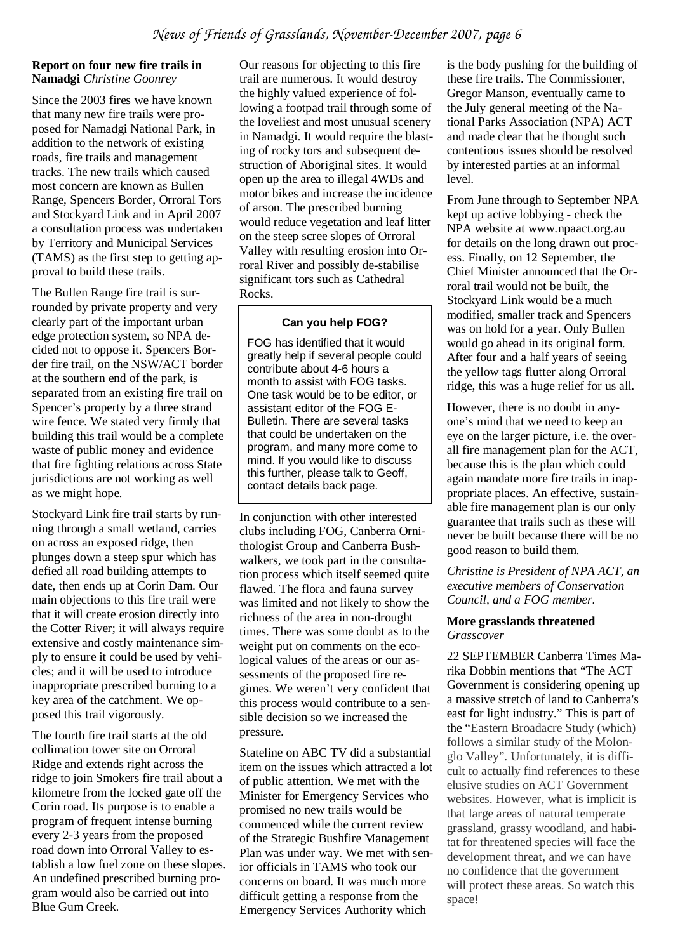#### **Report on four new fire trails in Namadgi** *Christine Goonrey*

Since the 2003 fires we have known that many new fire trails were proposed for Namadgi National Park, in addition to the network of existing roads, fire trails and management tracks. The new trails which caused most concern are known as Bullen Range, Spencers Border, Orroral Tors and Stockyard Link and in April 2007 a consultation process was undertaken by Territory and Municipal Services (TAMS) as the first step to getting approval to build these trails.

The Bullen Range fire trail is surrounded by private property and very clearly part of the important urban edge protection system, so NPA decided not to oppose it. Spencers Border fire trail, on the NSW/ACT border at the southern end of the park, is separated from an existing fire trail on Spencer's property by a three strand wire fence. We stated very firmly that building this trail would be a complete waste of public money and evidence that fire fighting relations across State jurisdictions are not working as well as we might hope.

Stockyard Link fire trail starts by running through a small wetland, carries on across an exposed ridge, then plunges down a steep spur which has defied all road building attempts to date, then ends up at Corin Dam. Our main objections to this fire trail were that it will create erosion directly into the Cotter River; it will always require extensive and costly maintenance simply to ensure it could be used by vehicles; and it will be used to introduce inappropriate prescribed burning to a key area of the catchment. We opposed this trail vigorously.

The fourth fire trail starts at the old collimation tower site on Orroral Ridge and extends right across the ridge to join Smokers fire trail about a kilometre from the locked gate off the Corin road. Its purpose is to enable a program of frequent intense burning every 2-3 years from the proposed road down into Orroral Valley to establish a low fuel zone on these slopes. An undefined prescribed burning program would also be carried out into Blue Gum Creek.

Our reasons for objecting to this fire trail are numerous. It would destroy the highly valued experience of following a footpad trail through some of the loveliest and most unusual scenery in Namadgi. It would require the blasting of rocky tors and subsequent destruction of Aboriginal sites. It would open up the area to illegal 4WDs and motor bikes and increase the incidence of arson. The prescribed burning would reduce vegetation and leaf litter on the steep scree slopes of Orroral Valley with resulting erosion into Orroral River and possibly de-stabilise significant tors such as Cathedral Rocks.

#### **Can you help FOG?**

FOG has identified that it would greatly help if several people could contribute about 4-6 hours a month to assist with FOG tasks. One task would be to be editor, or assistant editor of the FOG E-Bulletin. There are several tasks that could be undertaken on the program, and many more come to mind. If you would like to discuss this further, please talk to Geoff, contact details back page.

In conjunction with other interested clubs including FOG, Canberra Ornithologist Group and Canberra Bushwalkers, we took part in the consultation process which itself seemed quite flawed. The flora and fauna survey was limited and not likely to show the richness of the area in non-drought times. There was some doubt as to the weight put on comments on the ecological values of the areas or our assessments of the proposed fire regimes. We weren't very confident that this process would contribute to a sensible decision so we increased the pressure.

Stateline on ABC TV did a substantial item on the issues which attracted a lot of public attention. We met with the Minister for Emergency Services who promised no new trails would be commenced while the current review of the Strategic Bushfire Management Plan was under way. We met with senior officials in TAMS who took our concerns on board. It was much more difficult getting a response from the Emergency Services Authority which

is the body pushing for the building of these fire trails. The Commissioner, Gregor Manson, eventually came to the July general meeting of the National Parks Association (NPA) ACT and made clear that he thought such contentious issues should be resolved by interested parties at an informal level.

From June through to September NPA kept up active lobbying - check the NPA website at www.npaact.org.au for details on the long drawn out process. Finally, on 12 September, the Chief Minister announced that the Orroral trail would not be built, the Stockyard Link would be a much modified, smaller track and Spencers was on hold for a year. Only Bullen would go ahead in its original form. After four and a half years of seeing the yellow tags flutter along Orroral ridge, this was a huge relief for us all.

However, there is no doubt in anyone's mind that we need to keep an eye on the larger picture, i.e. the overall fire management plan for the ACT, because this is the plan which could again mandate more fire trails in inappropriate places. An effective, sustainable fire management plan is our only guarantee that trails such as these will never be built because there will be no good reason to build them.

*Christine is President of NPA ACT, an executive members of Conservation Council, and a FOG member.*

#### **More grasslands threatened**  *Grasscover*

22 SEPTEMBER Canberra Times Marika Dobbin mentions that "The ACT Government is considering opening up a massive stretch of land to Canberra's east for light industry." This is part of the "Eastern Broadacre Study (which) follows a similar study of the Molonglo Valley". Unfortunately, it is difficult to actually find references to these elusive studies on ACT Government websites. However, what is implicit is that large areas of natural temperate grassland, grassy woodland, and habitat for threatened species will face the development threat, and we can have no confidence that the government will protect these areas. So watch this space!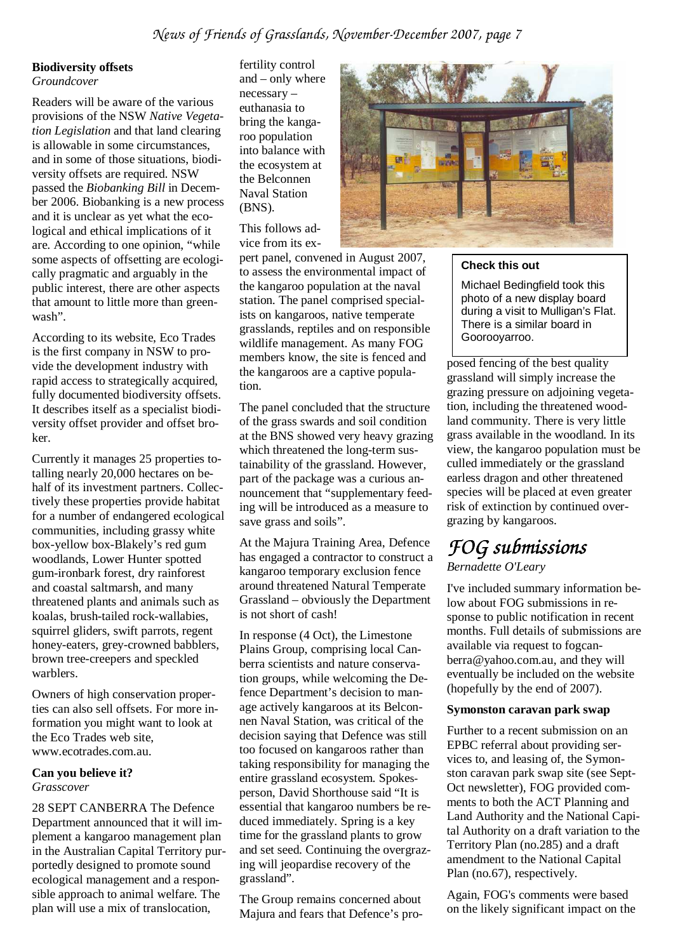#### **Biodiversity offsets**

*Groundcover* 

Readers will be aware of the various provisions of the NSW *Native Vegetation Legislation* and that land clearing is allowable in some circumstances, and in some of those situations, biodiversity offsets are required. NSW passed the *Biobanking Bill* in December 2006. Biobanking is a new process and it is unclear as yet what the ecological and ethical implications of it are. According to one opinion, "while some aspects of offsetting are ecologically pragmatic and arguably in the public interest, there are other aspects that amount to little more than greenwash".

According to its website, Eco Trades is the first company in NSW to provide the development industry with rapid access to strategically acquired, fully documented biodiversity offsets. It describes itself as a specialist biodiversity offset provider and offset broker.

Currently it manages 25 properties totalling nearly 20,000 hectares on behalf of its investment partners. Collectively these properties provide habitat for a number of endangered ecological communities, including grassy white box-yellow box-Blakely's red gum woodlands, Lower Hunter spotted gum-ironbark forest, dry rainforest and coastal saltmarsh, and many threatened plants and animals such as koalas, brush-tailed rock-wallabies, squirrel gliders, swift parrots, regent honey-eaters, grey-crowned babblers, brown tree-creepers and speckled warblers.

Owners of high conservation properties can also sell offsets. For more information you might want to look at the Eco Trades web site, www.ecotrades.com.au.

#### **Can you believe it?**  *Grasscover*

28 SEPT CANBERRA The Defence Department announced that it will implement a kangaroo management plan in the Australian Capital Territory purportedly designed to promote sound ecological management and a responsible approach to animal welfare. The plan will use a mix of translocation,

fertility control and – only where necessary – euthanasia to bring the kangaroo population into balance with the ecosystem at the Belconnen Naval Station (BNS).

This follows advice from its ex-

pert panel, convened in August 2007, to assess the environmental impact of the kangaroo population at the naval station. The panel comprised specialists on kangaroos, native temperate grasslands, reptiles and on responsible wildlife management. As many FOG members know, the site is fenced and the kangaroos are a captive population.

The panel concluded that the structure of the grass swards and soil condition at the BNS showed very heavy grazing which threatened the long-term sustainability of the grassland. However, part of the package was a curious announcement that "supplementary feeding will be introduced as a measure to save grass and soils".

At the Majura Training Area, Defence has engaged a contractor to construct a kangaroo temporary exclusion fence around threatened Natural Temperate Grassland – obviously the Department is not short of cash!

In response (4 Oct), the Limestone Plains Group, comprising local Canberra scientists and nature conservation groups, while welcoming the Defence Department's decision to manage actively kangaroos at its Belconnen Naval Station, was critical of the decision saying that Defence was still too focused on kangaroos rather than taking responsibility for managing the entire grassland ecosystem. Spokesperson, David Shorthouse said "It is essential that kangaroo numbers be reduced immediately. Spring is a key time for the grassland plants to grow and set seed. Continuing the overgrazing will jeopardise recovery of the grassland".

The Group remains concerned about Majura and fears that Defence's pro-



#### **Check this out**

Michael Bedingfield took this photo of a new display board during a visit to Mulligan's Flat. There is a similar board in Goorooyarroo.

posed fencing of the best quality grassland will simply increase the grazing pressure on adjoining vegetation, including the threatened woodland community. There is very little grass available in the woodland. In its view, the kangaroo population must be culled immediately or the grassland earless dragon and other threatened species will be placed at even greater risk of extinction by continued overgrazing by kangaroos.

# *FOG submis FOG submissions*

*Bernadette O'Leary* 

I've included summary information below about FOG submissions in response to public notification in recent months. Full details of submissions are available via request to fogcanberra@yahoo.com.au, and they will eventually be included on the website (hopefully by the end of 2007).

#### **Symonston caravan park swap**

Further to a recent submission on an EPBC referral about providing services to, and leasing of, the Symonston caravan park swap site (see Sept-Oct newsletter), FOG provided comments to both the ACT Planning and Land Authority and the National Capital Authority on a draft variation to the Territory Plan (no.285) and a draft amendment to the National Capital Plan (no.67), respectively.

Again, FOG's comments were based on the likely significant impact on the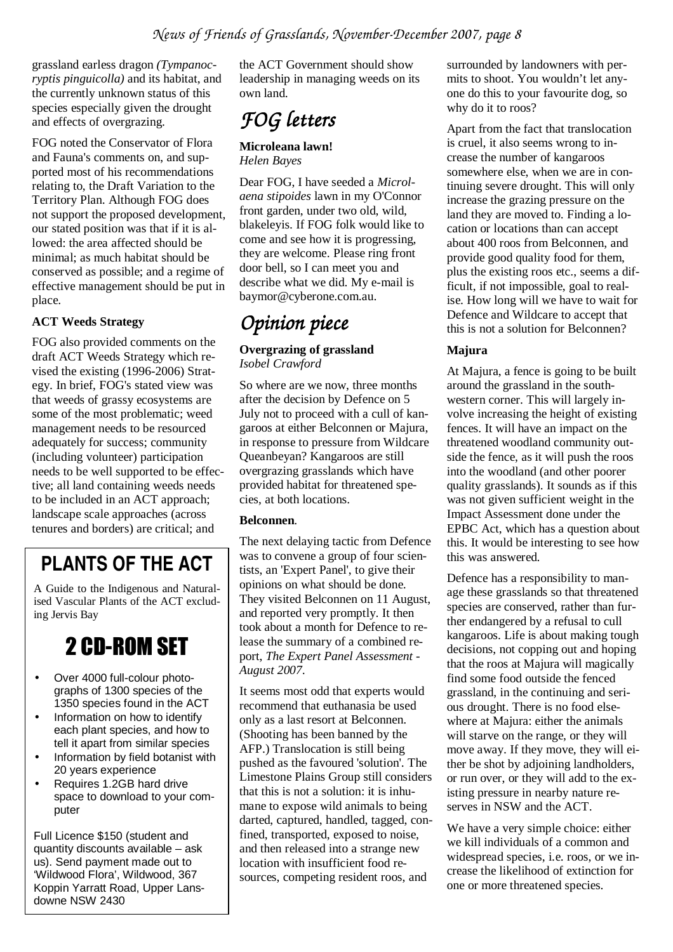grassland earless dragon *(Tympanocryptis pinguicolla)* and its habitat, and the currently unknown status of this species especially given the drought and effects of overgrazing.

FOG noted the Conservator of Flora and Fauna's comments on, and supported most of his recommendations relating to, the Draft Variation to the Territory Plan. Although FOG does not support the proposed development, our stated position was that if it is allowed: the area affected should be minimal; as much habitat should be conserved as possible; and a regime of effective management should be put in place.

#### **ACT Weeds Strategy**

FOG also provided comments on the draft ACT Weeds Strategy which revised the existing (1996-2006) Strategy. In brief, FOG's stated view was that weeds of grassy ecosystems are some of the most problematic; weed management needs to be resourced adequately for success; community (including volunteer) participation needs to be well supported to be effective; all land containing weeds needs to be included in an ACT approach; landscape scale approaches (across tenures and borders) are critical; and

### **PLANTS OF THE ACT**

A Guide to the Indigenous and Naturalised Vascular Plants of the ACT excluding Jervis Bay

# 2 CD-ROM SET

- Over 4000 full-colour photographs of 1300 species of the 1350 species found in the ACT
- Information on how to identify each plant species, and how to tell it apart from similar species
- Information by field botanist with 20 years experience
- Requires 1.2GB hard drive space to download to your computer

Full Licence \$150 (student and quantity discounts available – ask us). Send payment made out to 'Wildwood Flora', Wildwood, 367 Koppin Yarratt Road, Upper Lansdowne NSW 2430

the ACT Government should show leadership in managing weeds on its own land.

### *FOG letters letters*

#### **Microleana lawn!**  *Helen Bayes*

Dear FOG, I have seeded a *Microlaena stipoides* lawn in my O'Connor front garden, under two old, wild, blakeleyis. If FOG folk would like to come and see how it is progressing, they are welcome. Please ring front door bell, so I can meet you and describe what we did. My e-mail is baymor@cyberone.com.au.

## *Opinion piece*

#### **Overgrazing of grassland**  *Isobel Crawford*

So where are we now, three months after the decision by Defence on 5 July not to proceed with a cull of kangaroos at either Belconnen or Majura, in response to pressure from Wildcare Queanbeyan? Kangaroos are still overgrazing grasslands which have provided habitat for threatened species, at both locations.

#### **Belconnen**.

The next delaying tactic from Defence was to convene a group of four scientists, an 'Expert Panel', to give their opinions on what should be done. They visited Belconnen on 11 August, and reported very promptly. It then took about a month for Defence to release the summary of a combined report, *The Expert Panel Assessment - August 2007*.

It seems most odd that experts would recommend that euthanasia be used only as a last resort at Belconnen. (Shooting has been banned by the AFP.) Translocation is still being pushed as the favoured 'solution'. The Limestone Plains Group still considers that this is not a solution: it is inhumane to expose wild animals to being darted, captured, handled, tagged, confined, transported, exposed to noise, and then released into a strange new location with insufficient food resources, competing resident roos, and

surrounded by landowners with permits to shoot. You wouldn't let anyone do this to your favourite dog, so why do it to roos?

Apart from the fact that translocation is cruel, it also seems wrong to increase the number of kangaroos somewhere else, when we are in continuing severe drought. This will only increase the grazing pressure on the land they are moved to. Finding a location or locations than can accept about 400 roos from Belconnen, and provide good quality food for them, plus the existing roos etc., seems a difficult, if not impossible, goal to realise. How long will we have to wait for Defence and Wildcare to accept that this is not a solution for Belconnen?

#### **Majura**

At Majura, a fence is going to be built around the grassland in the southwestern corner. This will largely involve increasing the height of existing fences. It will have an impact on the threatened woodland community outside the fence, as it will push the roos into the woodland (and other poorer quality grasslands). It sounds as if this was not given sufficient weight in the Impact Assessment done under the EPBC Act, which has a question about this. It would be interesting to see how this was answered.

Defence has a responsibility to manage these grasslands so that threatened species are conserved, rather than further endangered by a refusal to cull kangaroos. Life is about making tough decisions, not copping out and hoping that the roos at Majura will magically find some food outside the fenced grassland, in the continuing and serious drought. There is no food elsewhere at Majura: either the animals will starve on the range, or they will move away. If they move, they will either be shot by adjoining landholders, or run over, or they will add to the existing pressure in nearby nature reserves in NSW and the ACT.

We have a very simple choice: either we kill individuals of a common and widespread species, i.e. roos, or we increase the likelihood of extinction for one or more threatened species.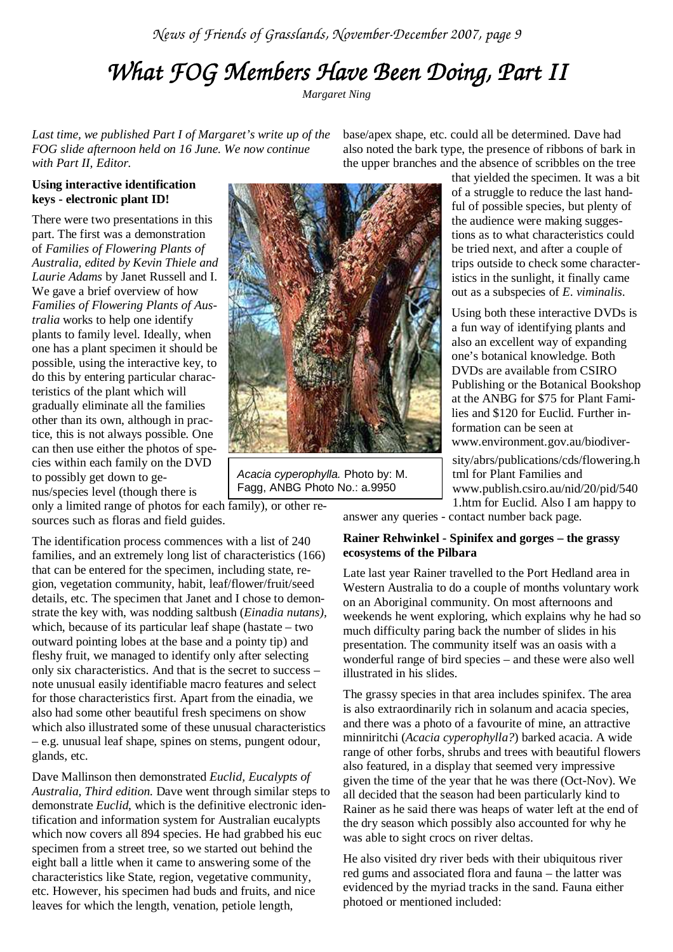# *What FOG Members Have Been Doing, Part II What FOG Members Doing, Part II*

*Margaret Ning* 

*Last time, we published Part I of Margaret's write up of the FOG slide afternoon held on 16 June. We now continue with Part II, Editor.* 

base/apex shape, etc. could all be determined. Dave had also noted the bark type, the presence of ribbons of bark in the upper branches and the absence of scribbles on the tree

#### **Using interactive identification keys - electronic plant ID!**

There were two presentations in this part. The first was a demonstration of *Families of Flowering Plants of Australia, edited by Kevin Thiele and Laurie Adams* by Janet Russell and I. We gave a brief overview of how *Families of Flowering Plants of Australia* works to help one identify plants to family level. Ideally, when one has a plant specimen it should be possible, using the interactive key, to do this by entering particular characteristics of the plant which will gradually eliminate all the families other than its own, although in practice, this is not always possible. One can then use either the photos of species within each family on the DVD to possibly get down to genus/species level (though there is

only a limited range of photos for each family), or other resources such as floras and field guides.

The identification process commences with a list of 240 families, and an extremely long list of characteristics (166) that can be entered for the specimen, including state, region, vegetation community, habit, leaf/flower/fruit/seed details, etc. The specimen that Janet and I chose to demonstrate the key with, was nodding saltbush (*Einadia nutans),* which, because of its particular leaf shape (hastate – two outward pointing lobes at the base and a pointy tip) and fleshy fruit, we managed to identify only after selecting only six characteristics. And that is the secret to success – note unusual easily identifiable macro features and select for those characteristics first. Apart from the einadia, we also had some other beautiful fresh specimens on show which also illustrated some of these unusual characteristics – e.g. unusual leaf shape, spines on stems, pungent odour, glands, etc.

Dave Mallinson then demonstrated *Euclid, Eucalypts of Australia, Third edition.* Dave went through similar steps to demonstrate *Euclid*, which is the definitive electronic identification and information system for Australian eucalypts which now covers all 894 species. He had grabbed his euc specimen from a street tree, so we started out behind the eight ball a little when it came to answering some of the characteristics like State, region, vegetative community, etc. However, his specimen had buds and fruits, and nice leaves for which the length, venation, petiole length,



Acacia cyperophylla. Photo by: M. Fagg, ANBG Photo No.: a.9950

that yielded the specimen. It was a bit of a struggle to reduce the last handful of possible species, but plenty of

the audience were making suggestions as to what characteristics could be tried next, and after a couple of trips outside to check some characteristics in the sunlight, it finally came out as a subspecies of *E*. *viminalis*.

Using both these interactive DVDs is a fun way of identifying plants and also an excellent way of expanding one's botanical knowledge. Both DVDs are available from CSIRO Publishing or the Botanical Bookshop at the ANBG for \$75 for Plant Families and \$120 for Euclid. Further information can be seen at www.environment.gov.au/biodiver-

sity/abrs/publications/cds/flowering.h tml for Plant Families and www.publish.csiro.au/nid/20/pid/540 1.htm for Euclid. Also I am happy to

answer any queries - contact number back page.

#### **Rainer Rehwinkel - Spinifex and gorges – the grassy ecosystems of the Pilbara**

Late last year Rainer travelled to the Port Hedland area in Western Australia to do a couple of months voluntary work on an Aboriginal community. On most afternoons and weekends he went exploring, which explains why he had so much difficulty paring back the number of slides in his presentation. The community itself was an oasis with a wonderful range of bird species – and these were also well illustrated in his slides.

The grassy species in that area includes spinifex. The area is also extraordinarily rich in solanum and acacia species, and there was a photo of a favourite of mine, an attractive minniritchi (*Acacia cyperophylla?*) barked acacia. A wide range of other forbs, shrubs and trees with beautiful flowers also featured, in a display that seemed very impressive given the time of the year that he was there (Oct-Nov). We all decided that the season had been particularly kind to Rainer as he said there was heaps of water left at the end of the dry season which possibly also accounted for why he was able to sight crocs on river deltas.

He also visited dry river beds with their ubiquitous river red gums and associated flora and fauna – the latter was evidenced by the myriad tracks in the sand. Fauna either photoed or mentioned included: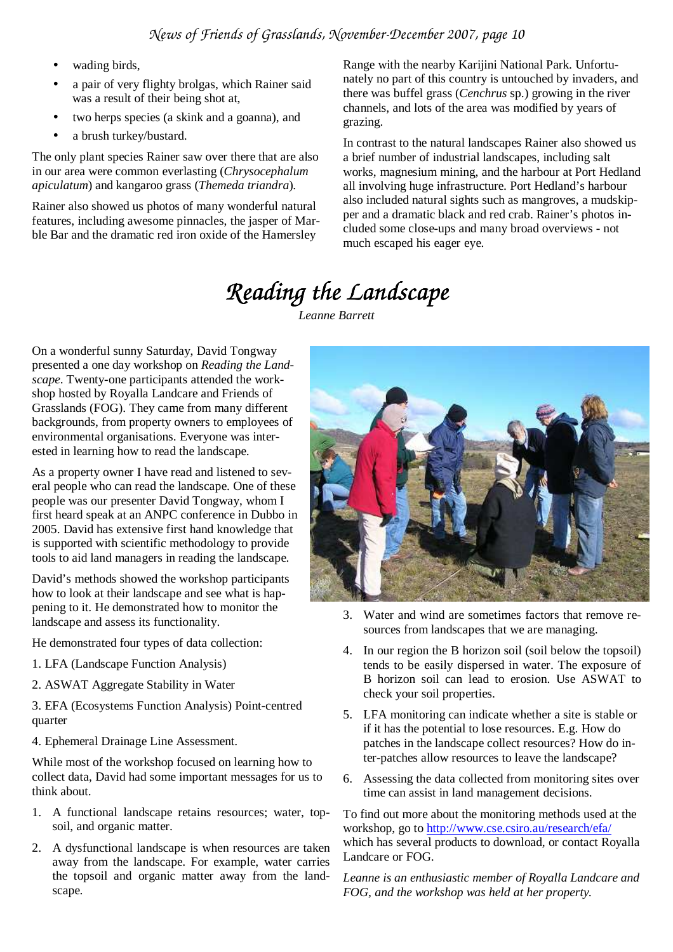- wading birds.
- a pair of very flighty brolgas, which Rainer said was a result of their being shot at,
- two herps species (a skink and a goanna), and
- a brush turkey/bustard.

The only plant species Rainer saw over there that are also in our area were common everlasting (*Chrysocephalum apiculatum*) and kangaroo grass (*Themeda triandra*).

Rainer also showed us photos of many wonderful natural features, including awesome pinnacles, the jasper of Marble Bar and the dramatic red iron oxide of the Hamersley

Range with the nearby Karijini National Park. Unfortunately no part of this country is untouched by invaders, and there was buffel grass (*Cenchrus* sp.) growing in the river channels, and lots of the area was modified by years of grazing.

In contrast to the natural landscapes Rainer also showed us a brief number of industrial landscapes, including salt works, magnesium mining, and the harbour at Port Hedland all involving huge infrastructure. Port Hedland's harbour also included natural sights such as mangroves, a mudskipper and a dramatic black and red crab. Rainer's photos included some close-ups and many broad overviews - not much escaped his eager eye.

# *Reading the Landscape Landscape*

*Leanne Barrett* 

On a wonderful sunny Saturday, David Tongway presented a one day workshop on *Reading the Landscape*. Twenty-one participants attended the workshop hosted by Royalla Landcare and Friends of Grasslands (FOG). They came from many different backgrounds, from property owners to employees of environmental organisations. Everyone was interested in learning how to read the landscape.

As a property owner I have read and listened to several people who can read the landscape. One of these people was our presenter David Tongway, whom I first heard speak at an ANPC conference in Dubbo in 2005. David has extensive first hand knowledge that is supported with scientific methodology to provide tools to aid land managers in reading the landscape.

David's methods showed the workshop participants how to look at their landscape and see what is happening to it. He demonstrated how to monitor the landscape and assess its functionality.

He demonstrated four types of data collection:

- 1. LFA (Landscape Function Analysis)
- 2. ASWAT Aggregate Stability in Water

3. EFA (Ecosystems Function Analysis) Point-centred quarter

4. Ephemeral Drainage Line Assessment.

While most of the workshop focused on learning how to collect data, David had some important messages for us to think about.

- 1. A functional landscape retains resources; water, topsoil, and organic matter.
- 2. A dysfunctional landscape is when resources are taken away from the landscape. For example, water carries the topsoil and organic matter away from the landscape.



- 3. Water and wind are sometimes factors that remove resources from landscapes that we are managing.
- 4. In our region the B horizon soil (soil below the topsoil) tends to be easily dispersed in water. The exposure of B horizon soil can lead to erosion. Use ASWAT to check your soil properties.
- 5. LFA monitoring can indicate whether a site is stable or if it has the potential to lose resources. E.g. How do patches in the landscape collect resources? How do inter-patches allow resources to leave the landscape?
- 6. Assessing the data collected from monitoring sites over time can assist in land management decisions.

To find out more about the monitoring methods used at the workshop, go to http://www.cse.csiro.au/research/efa/ which has several products to download, or contact Royalla Landcare or FOG.

*Leanne is an enthusiastic member of Royalla Landcare and FOG, and the workshop was held at her property.*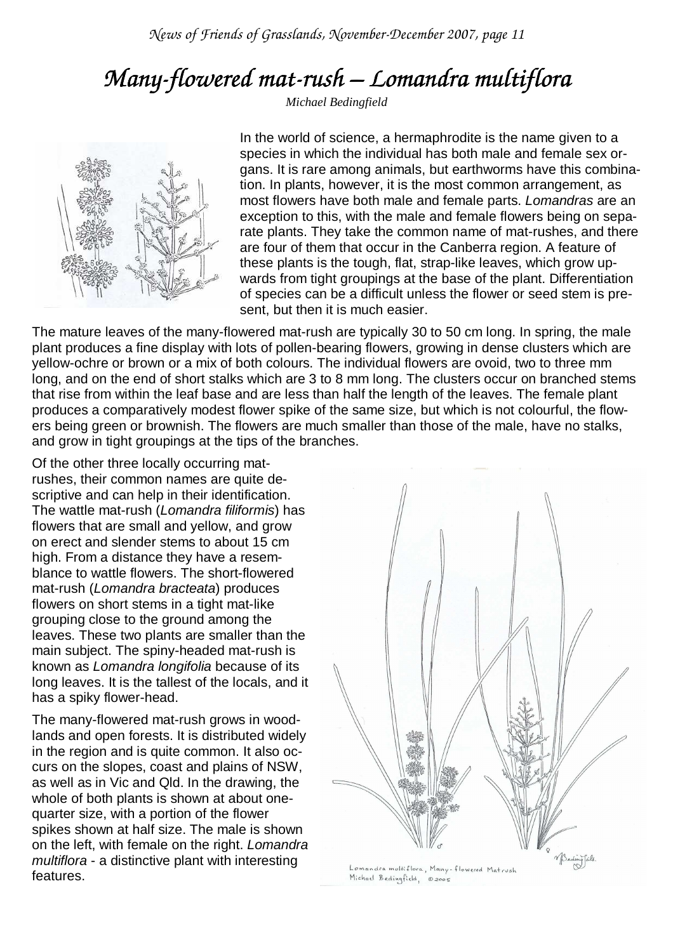# *Many-flowered mat flowered mat-rush –Lomandra multiflora mandra multifloramultiflora*

*Michael Bedingfield* 



In the world of science, a hermaphrodite is the name given to a species in which the individual has both male and female sex organs. It is rare among animals, but earthworms have this combination. In plants, however, it is the most common arrangement, as most flowers have both male and female parts. Lomandras are an exception to this, with the male and female flowers being on separate plants. They take the common name of mat-rushes, and there are four of them that occur in the Canberra region. A feature of these plants is the tough, flat, strap-like leaves, which grow upwards from tight groupings at the base of the plant. Differentiation of species can be a difficult unless the flower or seed stem is present, but then it is much easier.

The mature leaves of the many-flowered mat-rush are typically 30 to 50 cm long. In spring, the male plant produces a fine display with lots of pollen-bearing flowers, growing in dense clusters which are yellow-ochre or brown or a mix of both colours. The individual flowers are ovoid, two to three mm long, and on the end of short stalks which are 3 to 8 mm long. The clusters occur on branched stems that rise from within the leaf base and are less than half the length of the leaves. The female plant produces a comparatively modest flower spike of the same size, but which is not colourful, the flowers being green or brownish. The flowers are much smaller than those of the male, have no stalks, and grow in tight groupings at the tips of the branches.

Of the other three locally occurring matrushes, their common names are quite descriptive and can help in their identification. The wattle mat-rush (Lomandra filiformis) has flowers that are small and yellow, and grow on erect and slender stems to about 15 cm high. From a distance they have a resemblance to wattle flowers. The short-flowered mat-rush (Lomandra bracteata) produces flowers on short stems in a tight mat-like grouping close to the ground among the leaves. These two plants are smaller than the main subject. The spiny-headed mat-rush is known as Lomandra longifolia because of its long leaves. It is the tallest of the locals, and it has a spiky flower-head.

The many-flowered mat-rush grows in woodlands and open forests. It is distributed widely in the region and is quite common. It also occurs on the slopes, coast and plains of NSW, as well as in Vic and Qld. In the drawing, the whole of both plants is shown at about onequarter size, with a portion of the flower spikes shown at half size. The male is shown on the left, with female on the right. Lomandra multiflora - a distinctive plant with interesting features.



Lomandra multiflora, Many-flowered Matrush Michael Bedingfield, 02005